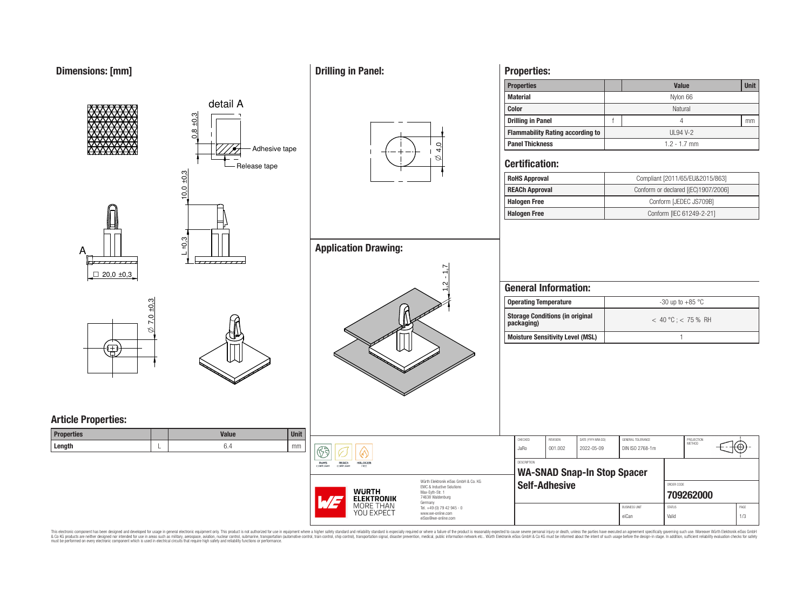# **Dimensions: [mm]**



**Properties:**

**Drilling in Panel:**

This electronic component has been designed and developed for usage in general electronic equipment only. This product is not authorized for subserved requipment where a higher selection equipment where a higher selection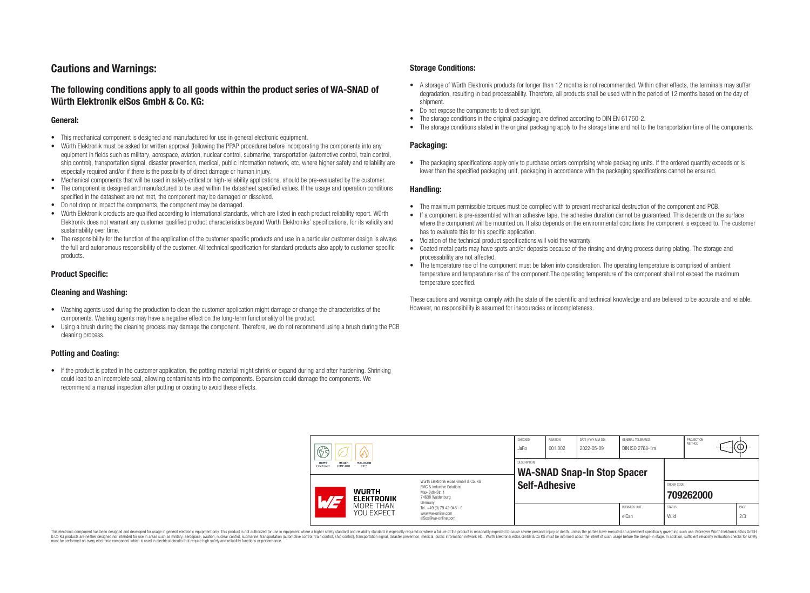# **Cautions and Warnings:**

# **The following conditions apply to all goods within the product series of WA-SNAD of Würth Elektronik eiSos GmbH & Co. KG:**

### **General:**

- This mechanical component is designed and manufactured for use in general electronic equipment.
- Würth Elektronik must be asked for written approval (following the PPAP procedure) before incorporating the components into any equipment in fields such as military, aerospace, aviation, nuclear control, submarine, transportation (automotive control, train control, ship control), transportation signal, disaster prevention, medical, public information network, etc. where higher safety and reliability are especially required and/or if there is the possibility of direct damage or human injury.
- Mechanical components that will be used in safety-critical or high-reliability applications, should be pre-evaluated by the customer.
- The component is designed and manufactured to be used within the datasheet specified values. If the usage and operation conditions specified in the datasheet are not met, the component may be damaged or dissolved.
- Do not drop or impact the components, the component may be damaged.<br>• Wirth Elektronik products are qualified according to international standard
- Würth Elektronik products are qualified according to international standards, which are listed in each product reliability report. Würth Elektronik does not warrant any customer qualified product characteristics beyond Würth Elektroniks' specifications, for its validity and sustainability over time.
- The responsibility for the function of the application of the customer specific products and use in a particular customer design is always the full and autonomous responsibility of the customer. All technical specification for standard products also apply to customer specific products.

### **Product Specific:**

### **Cleaning and Washing:**

- Washing agents used during the production to clean the customer application might damage or change the characteristics of the components. Washing agents may have a negative effect on the long-term functionality of the product.
- Using a brush during the cleaning process may damage the component. Therefore, we do not recommend using a brush during the PCB cleaning process.

### **Potting and Coating:**

• If the product is potted in the customer application, the potting material might shrink or expand during and after hardening. Shrinking could lead to an incomplete seal, allowing contaminants into the components. Expansion could damage the components. We recommend a manual inspection after potting or coating to avoid these effects.

### **Storage Conditions:**

- A storage of Würth Elektronik products for longer than 12 months is not recommended. Within other effects, the terminals may suffer degradation, resulting in bad processability. Therefore, all products shall be used within the period of 12 months based on the day of shipment.
- Do not expose the components to direct sunlight.<br>• The storage conditions in the original packaging
- The storage conditions in the original packaging are defined according to DIN EN 61760-2.
- The storage conditions stated in the original packaging apply to the storage time and not to the transportation time of the components.

### **Packaging:**

• The packaging specifications apply only to purchase orders comprising whole packaging units. If the ordered quantity exceeds or is lower than the specified packaging unit, packaging in accordance with the packaging specifications cannot be ensured.

### **Handling:**

- The maximum permissible torques must be complied with to prevent mechanical destruction of the component and PCB.
- If a component is pre-assembled with an adhesive tape, the adhesive duration cannot be guaranteed. This depends on the surface where the component will be mounted on. It also depends on the environmental conditions the component is exposed to. The customer has to evaluate this for his specific application.
- Violation of the technical product specifications will void the warranty.
- Coated metal parts may have spots and/or deposits because of the rinsing and drying process during plating. The storage and processability are not affected.
- The temperature rise of the component must be taken into consideration. The operating temperature is comprised of ambient temperature and temperature rise of the component.The operating temperature of the component shall not exceed the maximum temperature specified.

These cautions and warnings comply with the state of the scientific and technical knowledge and are believed to be accurate and reliable. However, no responsibility is assumed for inaccuracies or incompleteness.

| $\mathbb{R}$ a             |                                                              |                                                                                                                                                                                               | CHECKED<br>JaRo      | <b>REVISION</b><br>001.002                        | DATE (YYYY-MM-DD)<br>2022-05-09 | GENERAL TOLERANCE<br>DIN ISO 2768-1m |                         | PROJECTION<br>METHOD | $+(+)$ -    |  |
|----------------------------|--------------------------------------------------------------|-----------------------------------------------------------------------------------------------------------------------------------------------------------------------------------------------|----------------------|---------------------------------------------------|---------------------------------|--------------------------------------|-------------------------|----------------------|-------------|--|
| RoHS<br>REACh<br>COMPLIANT | <b>HALOGEN</b><br>COMPLIANT<br>FREE                          |                                                                                                                                                                                               |                      | DESCRIPTION<br><b>WA-SNAD Snap-In Stop Spacer</b> |                                 |                                      |                         |                      |             |  |
| $\overline{\phantom{a}}$   | <b>WURTH</b><br><b>ELEKTRONIK</b><br>MORE THAN<br>YOU EXPECT | Würth Flektronik eiSos GmbH & Co. KG<br>EMC & Inductive Solutions<br>Max-Evth-Str. 1<br>74638 Waldenburg<br>Germany<br>Tel. +49 (0) 79 42 945 - 0<br>www.we-online.com<br>eiSos@we-online.com | <b>Self-Adhesive</b> |                                                   |                                 |                                      | ORDER CODE<br>709262000 |                      |             |  |
|                            |                                                              |                                                                                                                                                                                               |                      |                                                   |                                 | <b>BUSINESS UNIT</b><br>eiCan        | <b>STATUS</b><br>Valid  |                      | PAGE<br>2/3 |  |

This electronic component has been designed and developed for usage in general electronic equipment only. This product is not authorized for use in equipment where a higher safety standard and reliability standard si espec & Ook product a label and the membed of the seasuch as marked and as which such a membed and the such assume that income in the seasuch and the simulation and the such assume that include to the such a membed and the such